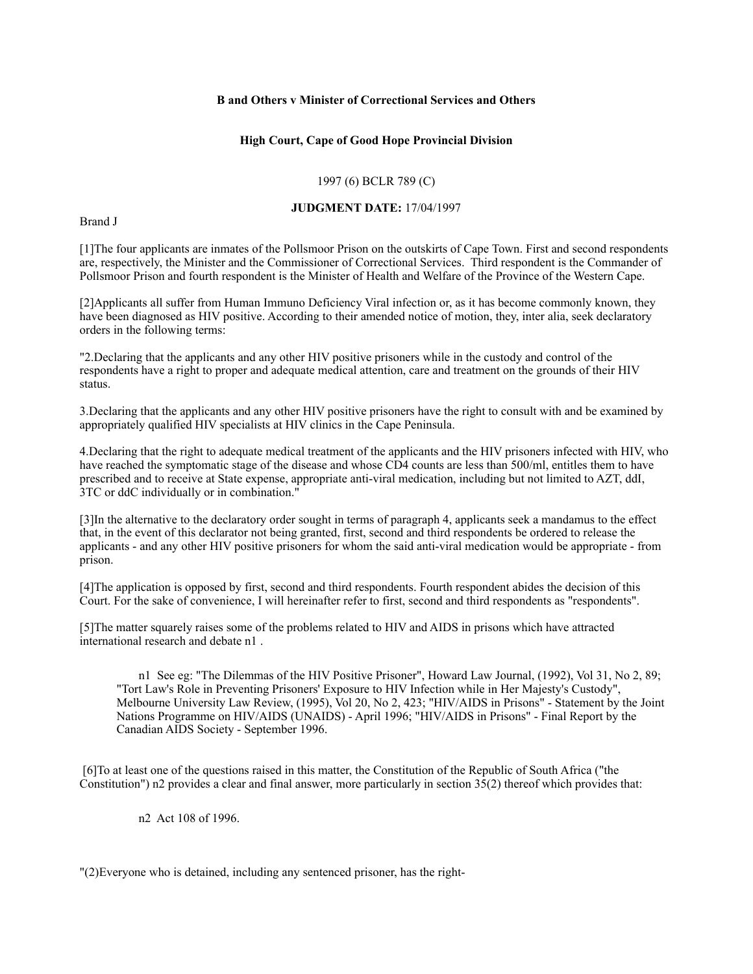### **B and Others v Minister of Correctional Services and Others**

### **High Court, Cape of Good Hope Provincial Division**

# 1997 (6) BCLR 789 (C)

### **JUDGMENT DATE:** 17/04/1997

Brand J

[1]The four applicants are inmates of the Pollsmoor Prison on the outskirts of Cape Town. First and second respondents are, respectively, the Minister and the Commissioner of Correctional Services. Third respondent is the Commander of Pollsmoor Prison and fourth respondent is the Minister of Health and Welfare of the Province of the Western Cape.

[2]Applicants all suffer from Human Immuno Deficiency Viral infection or, as it has become commonly known, they have been diagnosed as HIV positive. According to their amended notice of motion, they, inter alia, seek declaratory orders in the following terms:

"2.Declaring that the applicants and any other HIV positive prisoners while in the custody and control of the respondents have a right to proper and adequate medical attention, care and treatment on the grounds of their HIV status.

3.Declaring that the applicants and any other HIV positive prisoners have the right to consult with and be examined by appropriately qualified HIV specialists at HIV clinics in the Cape Peninsula.

4.Declaring that the right to adequate medical treatment of the applicants and the HIV prisoners infected with HIV, who have reached the symptomatic stage of the disease and whose CD4 counts are less than 500/ml, entitles them to have prescribed and to receive at State expense, appropriate anti-viral medication, including but not limited to AZT, ddI, 3TC or ddC individually or in combination."

[3]In the alternative to the declaratory order sought in terms of paragraph 4, applicants seek a mandamus to the effect that, in the event of this declarator not being granted, first, second and third respondents be ordered to release the applicants - and any other HIV positive prisoners for whom the said anti-viral medication would be appropriate - from prison.

[4]The application is opposed by first, second and third respondents. Fourth respondent abides the decision of this Court. For the sake of convenience, I will hereinafter refer to first, second and third respondents as "respondents".

[5]The matter squarely raises some of the problems related to HIV and AIDS in prisons which have attracted international research and debate n1 .

n1 See eg: "The Dilemmas of the HIV Positive Prisoner", Howard Law Journal, (1992), Vol 31, No 2, 89; "Tort Law's Role in Preventing Prisoners' Exposure to HIV Infection while in Her Majesty's Custody", Melbourne University Law Review, (1995), Vol 20, No 2, 423; "HIV/AIDS in Prisons" - Statement by the Joint Nations Programme on HIV/AIDS (UNAIDS) - April 1996; "HIV/AIDS in Prisons" - Final Report by the Canadian AIDS Society - September 1996.

 [6]To at least one of the questions raised in this matter, the Constitution of the Republic of South Africa ("the Constitution") n2 provides a clear and final answer, more particularly in section 35(2) thereof which provides that:

n2 Act 108 of 1996.

"(2)Everyone who is detained, including any sentenced prisoner, has the right-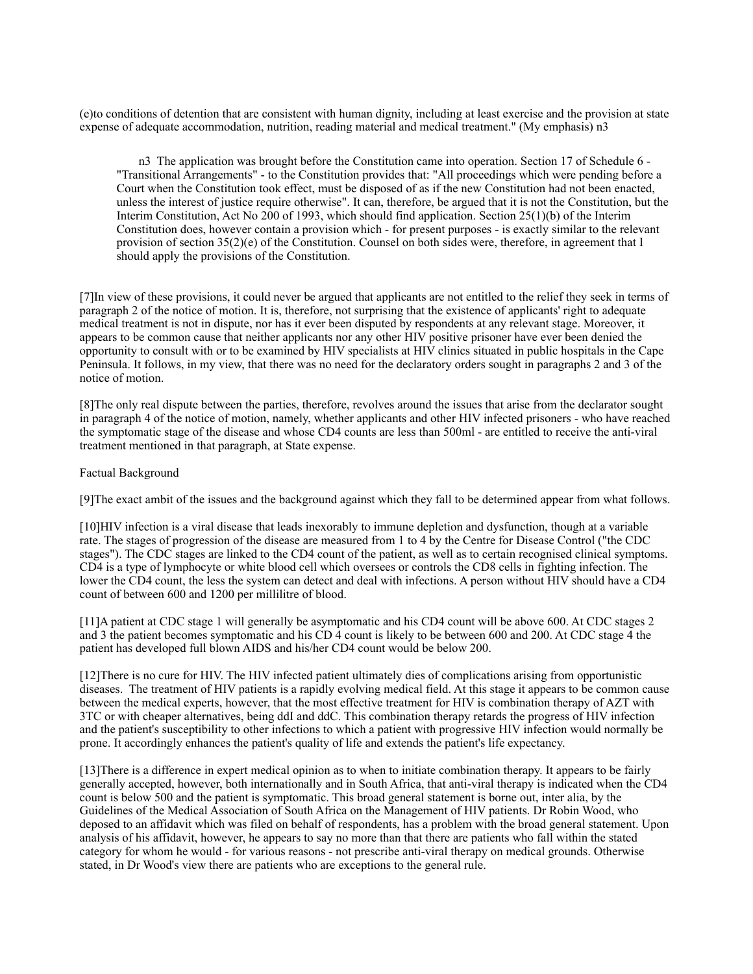(e)to conditions of detention that are consistent with human dignity, including at least exercise and the provision at state expense of adequate accommodation, nutrition, reading material and medical treatment." (My emphasis) n3

n3 The application was brought before the Constitution came into operation. Section 17 of Schedule 6 - "Transitional Arrangements" - to the Constitution provides that: "All proceedings which were pending before a Court when the Constitution took effect, must be disposed of as if the new Constitution had not been enacted, unless the interest of justice require otherwise". It can, therefore, be argued that it is not the Constitution, but the Interim Constitution, Act No 200 of 1993, which should find application. Section 25(1)(b) of the Interim Constitution does, however contain a provision which - for present purposes - is exactly similar to the relevant provision of section 35(2)(e) of the Constitution. Counsel on both sides were, therefore, in agreement that I should apply the provisions of the Constitution.

[7]In view of these provisions, it could never be argued that applicants are not entitled to the relief they seek in terms of paragraph 2 of the notice of motion. It is, therefore, not surprising that the existence of applicants' right to adequate medical treatment is not in dispute, nor has it ever been disputed by respondents at any relevant stage. Moreover, it appears to be common cause that neither applicants nor any other HIV positive prisoner have ever been denied the opportunity to consult with or to be examined by HIV specialists at HIV clinics situated in public hospitals in the Cape Peninsula. It follows, in my view, that there was no need for the declaratory orders sought in paragraphs 2 and 3 of the notice of motion.

[8]The only real dispute between the parties, therefore, revolves around the issues that arise from the declarator sought in paragraph 4 of the notice of motion, namely, whether applicants and other HIV infected prisoners - who have reached the symptomatic stage of the disease and whose CD4 counts are less than 500ml - are entitled to receive the anti-viral treatment mentioned in that paragraph, at State expense.

### Factual Background

[9]The exact ambit of the issues and the background against which they fall to be determined appear from what follows.

[10]HIV infection is a viral disease that leads inexorably to immune depletion and dysfunction, though at a variable rate. The stages of progression of the disease are measured from 1 to 4 by the Centre for Disease Control ("the CDC stages"). The CDC stages are linked to the CD4 count of the patient, as well as to certain recognised clinical symptoms. CD4 is a type of lymphocyte or white blood cell which oversees or controls the CD8 cells in fighting infection. The lower the CD4 count, the less the system can detect and deal with infections. A person without HIV should have a CD4 count of between 600 and 1200 per millilitre of blood.

[11]A patient at CDC stage 1 will generally be asymptomatic and his CD4 count will be above 600. At CDC stages 2 and 3 the patient becomes symptomatic and his CD 4 count is likely to be between 600 and 200. At CDC stage 4 the patient has developed full blown AIDS and his/her CD4 count would be below 200.

[12]There is no cure for HIV. The HIV infected patient ultimately dies of complications arising from opportunistic diseases. The treatment of HIV patients is a rapidly evolving medical field. At this stage it appears to be common cause between the medical experts, however, that the most effective treatment for HIV is combination therapy of AZT with 3TC or with cheaper alternatives, being ddI and ddC. This combination therapy retards the progress of HIV infection and the patient's susceptibility to other infections to which a patient with progressive HIV infection would normally be prone. It accordingly enhances the patient's quality of life and extends the patient's life expectancy.

[13]There is a difference in expert medical opinion as to when to initiate combination therapy. It appears to be fairly generally accepted, however, both internationally and in South Africa, that anti-viral therapy is indicated when the CD4 count is below 500 and the patient is symptomatic. This broad general statement is borne out, inter alia, by the Guidelines of the Medical Association of South Africa on the Management of HIV patients. Dr Robin Wood, who deposed to an affidavit which was filed on behalf of respondents, has a problem with the broad general statement. Upon analysis of his affidavit, however, he appears to say no more than that there are patients who fall within the stated category for whom he would - for various reasons - not prescribe anti-viral therapy on medical grounds. Otherwise stated, in Dr Wood's view there are patients who are exceptions to the general rule.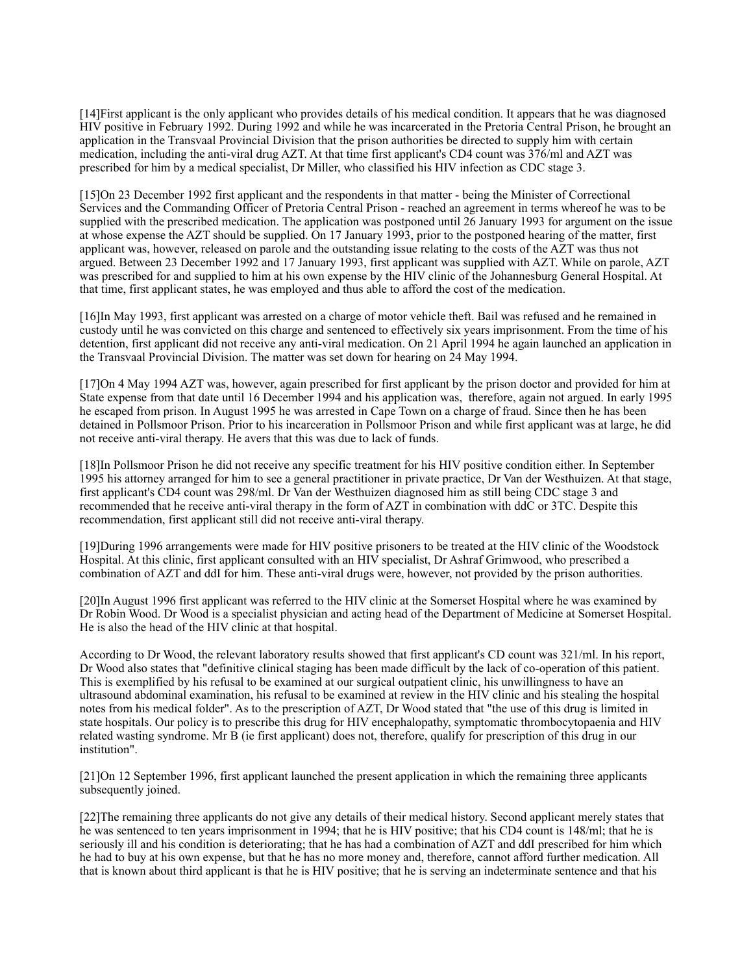[14]First applicant is the only applicant who provides details of his medical condition. It appears that he was diagnosed HIV positive in February 1992. During 1992 and while he was incarcerated in the Pretoria Central Prison, he brought an application in the Transvaal Provincial Division that the prison authorities be directed to supply him with certain medication, including the anti-viral drug AZT. At that time first applicant's CD4 count was 376/ml and AZT was prescribed for him by a medical specialist, Dr Miller, who classified his HIV infection as CDC stage 3.

[15]On 23 December 1992 first applicant and the respondents in that matter - being the Minister of Correctional Services and the Commanding Officer of Pretoria Central Prison - reached an agreement in terms whereof he was to be supplied with the prescribed medication. The application was postponed until 26 January 1993 for argument on the issue at whose expense the AZT should be supplied. On 17 January 1993, prior to the postponed hearing of the matter, first applicant was, however, released on parole and the outstanding issue relating to the costs of the AZT was thus not argued. Between 23 December 1992 and 17 January 1993, first applicant was supplied with AZT. While on parole, AZT was prescribed for and supplied to him at his own expense by the HIV clinic of the Johannesburg General Hospital. At that time, first applicant states, he was employed and thus able to afford the cost of the medication.

[16]In May 1993, first applicant was arrested on a charge of motor vehicle theft. Bail was refused and he remained in custody until he was convicted on this charge and sentenced to effectively six years imprisonment. From the time of his detention, first applicant did not receive any anti-viral medication. On 21 April 1994 he again launched an application in the Transvaal Provincial Division. The matter was set down for hearing on 24 May 1994.

[17]On 4 May 1994 AZT was, however, again prescribed for first applicant by the prison doctor and provided for him at State expense from that date until 16 December 1994 and his application was, therefore, again not argued. In early 1995 he escaped from prison. In August 1995 he was arrested in Cape Town on a charge of fraud. Since then he has been detained in Pollsmoor Prison. Prior to his incarceration in Pollsmoor Prison and while first applicant was at large, he did not receive anti-viral therapy. He avers that this was due to lack of funds.

[18]In Pollsmoor Prison he did not receive any specific treatment for his HIV positive condition either. In September 1995 his attorney arranged for him to see a general practitioner in private practice, Dr Van der Westhuizen. At that stage, first applicant's CD4 count was 298/ml. Dr Van der Westhuizen diagnosed him as still being CDC stage 3 and recommended that he receive anti-viral therapy in the form of AZT in combination with ddC or 3TC. Despite this recommendation, first applicant still did not receive anti-viral therapy.

[19]During 1996 arrangements were made for HIV positive prisoners to be treated at the HIV clinic of the Woodstock Hospital. At this clinic, first applicant consulted with an HIV specialist, Dr Ashraf Grimwood, who prescribed a combination of AZT and ddI for him. These anti-viral drugs were, however, not provided by the prison authorities.

[20]In August 1996 first applicant was referred to the HIV clinic at the Somerset Hospital where he was examined by Dr Robin Wood. Dr Wood is a specialist physician and acting head of the Department of Medicine at Somerset Hospital. He is also the head of the HIV clinic at that hospital.

According to Dr Wood, the relevant laboratory results showed that first applicant's CD count was 321/ml. In his report, Dr Wood also states that "definitive clinical staging has been made difficult by the lack of co-operation of this patient. This is exemplified by his refusal to be examined at our surgical outpatient clinic, his unwillingness to have an ultrasound abdominal examination, his refusal to be examined at review in the HIV clinic and his stealing the hospital notes from his medical folder". As to the prescription of AZT, Dr Wood stated that "the use of this drug is limited in state hospitals. Our policy is to prescribe this drug for HIV encephalopathy, symptomatic thrombocytopaenia and HIV related wasting syndrome. Mr B (ie first applicant) does not, therefore, qualify for prescription of this drug in our institution".

[21]On 12 September 1996, first applicant launched the present application in which the remaining three applicants subsequently joined.

[22]The remaining three applicants do not give any details of their medical history. Second applicant merely states that he was sentenced to ten years imprisonment in 1994; that he is HIV positive; that his CD4 count is 148/ml; that he is seriously ill and his condition is deteriorating; that he has had a combination of AZT and ddI prescribed for him which he had to buy at his own expense, but that he has no more money and, therefore, cannot afford further medication. All that is known about third applicant is that he is HIV positive; that he is serving an indeterminate sentence and that his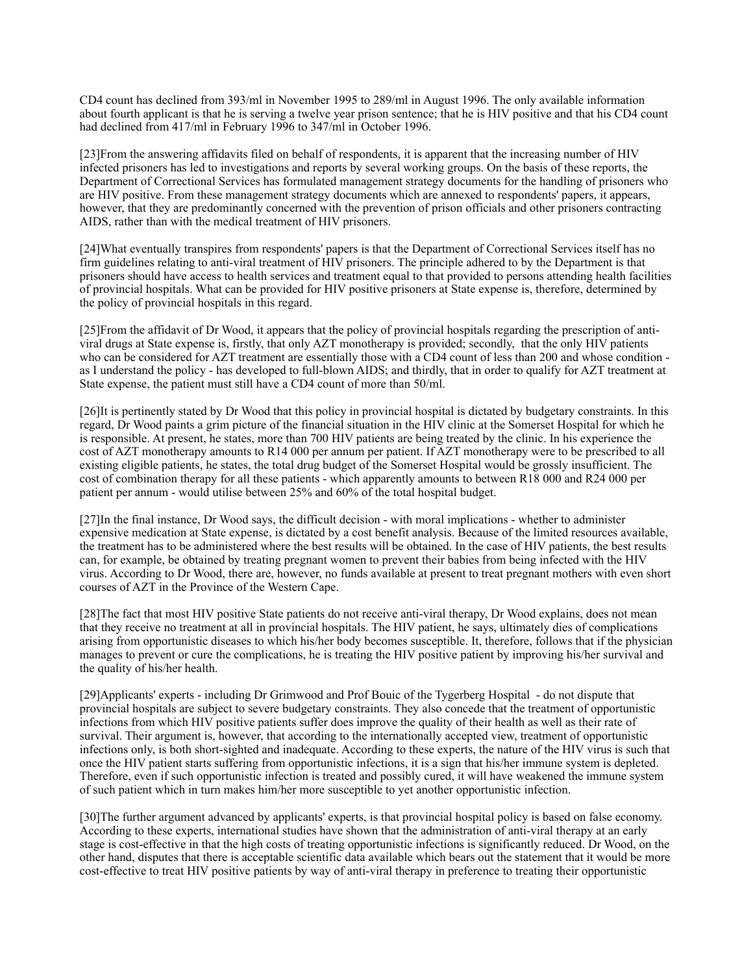CD4 count has declined from 393/ml in November 1995 to 289/ml in August 1996. The only available information about fourth applicant is that he is serving a twelve year prison sentence; that he is HIV positive and that his CD4 count had declined from 417/ml in February 1996 to 347/ml in October 1996.

[23]From the answering affidavits filed on behalf of respondents, it is apparent that the increasing number of HIV infected prisoners has led to investigations and reports by several working groups. On the basis of these reports, the Department of Correctional Services has formulated management strategy documents for the handling of prisoners who are HIV positive. From these management strategy documents which are annexed to respondents' papers, it appears, however, that they are predominantly concerned with the prevention of prison officials and other prisoners contracting AIDS, rather than with the medical treatment of HIV prisoners.

[24]What eventually transpires from respondents' papers is that the Department of Correctional Services itself has no firm guidelines relating to anti-viral treatment of HIV prisoners. The principle adhered to by the Department is that prisoners should have access to health services and treatment equal to that provided to persons attending health facilities of provincial hospitals. What can be provided for HIV positive prisoners at State expense is, therefore, determined by the policy of provincial hospitals in this regard.

[25]From the affidavit of Dr Wood, it appears that the policy of provincial hospitals regarding the prescription of antiviral drugs at State expense is, firstly, that only AZT monotherapy is provided; secondly, that the only HIV patients who can be considered for AZT treatment are essentially those with a CD4 count of less than 200 and whose condition as I understand the policy - has developed to full-blown AIDS; and thirdly, that in order to qualify for AZT treatment at State expense, the patient must still have a CD4 count of more than 50/ml.

[26]It is pertinently stated by Dr Wood that this policy in provincial hospital is dictated by budgetary constraints. In this regard, Dr Wood paints a grim picture of the financial situation in the HIV clinic at the Somerset Hospital for which he is responsible. At present, he states, more than 700 HIV patients are being treated by the clinic. In his experience the cost of AZT monotherapy amounts to R14 000 per annum per patient. If AZT monotherapy were to be prescribed to all existing eligible patients, he states, the total drug budget of the Somerset Hospital would be grossly insufficient. The cost of combination therapy for all these patients - which apparently amounts to between R18 000 and R24 000 per patient per annum - would utilise between 25% and 60% of the total hospital budget.

[27]In the final instance, Dr Wood says, the difficult decision - with moral implications - whether to administer expensive medication at State expense, is dictated by a cost benefit analysis. Because of the limited resources available, the treatment has to be administered where the best results will be obtained. In the case of HIV patients, the best results can, for example, be obtained by treating pregnant women to prevent their babies from being infected with the HIV virus. According to Dr Wood, there are, however, no funds available at present to treat pregnant mothers with even short courses of AZT in the Province of the Western Cape.

[28]The fact that most HIV positive State patients do not receive anti-viral therapy, Dr Wood explains, does not mean that they receive no treatment at all in provincial hospitals. The HIV patient, he says, ultimately dies of complications arising from opportunistic diseases to which his/her body becomes susceptible. It, therefore, follows that if the physician manages to prevent or cure the complications, he is treating the HIV positive patient by improving his/her survival and the quality of his/her health.

[29]Applicants' experts - including Dr Grimwood and Prof Bouic of the Tygerberg Hospital - do not dispute that provincial hospitals are subject to severe budgetary constraints. They also concede that the treatment of opportunistic infections from which HIV positive patients suffer does improve the quality of their health as well as their rate of survival. Their argument is, however, that according to the internationally accepted view, treatment of opportunistic infections only, is both short-sighted and inadequate. According to these experts, the nature of the HIV virus is such that once the HIV patient starts suffering from opportunistic infections, it is a sign that his/her immune system is depleted. Therefore, even if such opportunistic infection is treated and possibly cured, it will have weakened the immune system of such patient which in turn makes him/her more susceptible to yet another opportunistic infection.

[30]The further argument advanced by applicants' experts, is that provincial hospital policy is based on false economy. According to these experts, international studies have shown that the administration of anti-viral therapy at an early stage is cost-effective in that the high costs of treating opportunistic infections is significantly reduced. Dr Wood, on the other hand, disputes that there is acceptable scientific data available which bears out the statement that it would be more cost-effective to treat HIV positive patients by way of anti-viral therapy in preference to treating their opportunistic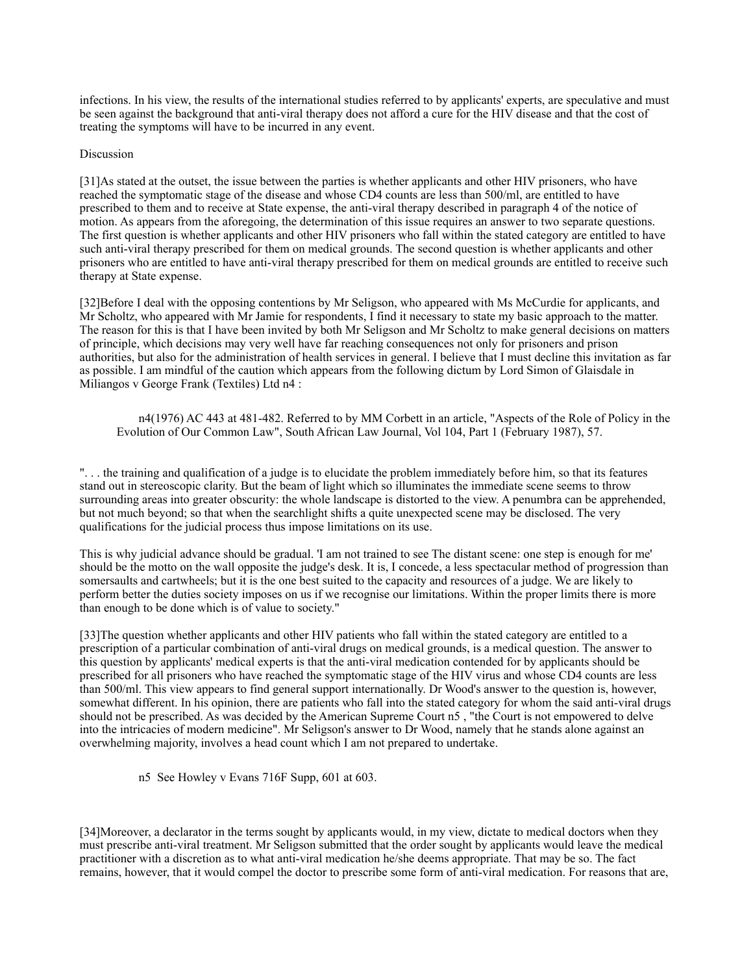infections. In his view, the results of the international studies referred to by applicants' experts, are speculative and must be seen against the background that anti-viral therapy does not afford a cure for the HIV disease and that the cost of treating the symptoms will have to be incurred in any event.

#### **Discussion**

[31]As stated at the outset, the issue between the parties is whether applicants and other HIV prisoners, who have reached the symptomatic stage of the disease and whose CD4 counts are less than 500/ml, are entitled to have prescribed to them and to receive at State expense, the anti-viral therapy described in paragraph 4 of the notice of motion. As appears from the aforegoing, the determination of this issue requires an answer to two separate questions. The first question is whether applicants and other HIV prisoners who fall within the stated category are entitled to have such anti-viral therapy prescribed for them on medical grounds. The second question is whether applicants and other prisoners who are entitled to have anti-viral therapy prescribed for them on medical grounds are entitled to receive such therapy at State expense.

[32]Before I deal with the opposing contentions by Mr Seligson, who appeared with Ms McCurdie for applicants, and Mr Scholtz, who appeared with Mr Jamie for respondents, I find it necessary to state my basic approach to the matter. The reason for this is that I have been invited by both Mr Seligson and Mr Scholtz to make general decisions on matters of principle, which decisions may very well have far reaching consequences not only for prisoners and prison authorities, but also for the administration of health services in general. I believe that I must decline this invitation as far as possible. I am mindful of the caution which appears from the following dictum by Lord Simon of Glaisdale in Miliangos v George Frank (Textiles) Ltd n4 :

n4(1976) AC 443 at 481-482. Referred to by MM Corbett in an article, "Aspects of the Role of Policy in the Evolution of Our Common Law", South African Law Journal, Vol 104, Part 1 (February 1987), 57.

". . . the training and qualification of a judge is to elucidate the problem immediately before him, so that its features stand out in stereoscopic clarity. But the beam of light which so illuminates the immediate scene seems to throw surrounding areas into greater obscurity: the whole landscape is distorted to the view. A penumbra can be apprehended, but not much beyond; so that when the searchlight shifts a quite unexpected scene may be disclosed. The very qualifications for the judicial process thus impose limitations on its use.

This is why judicial advance should be gradual. 'I am not trained to see The distant scene: one step is enough for me' should be the motto on the wall opposite the judge's desk. It is, I concede, a less spectacular method of progression than somersaults and cartwheels; but it is the one best suited to the capacity and resources of a judge. We are likely to perform better the duties society imposes on us if we recognise our limitations. Within the proper limits there is more than enough to be done which is of value to society."

[33]The question whether applicants and other HIV patients who fall within the stated category are entitled to a prescription of a particular combination of anti-viral drugs on medical grounds, is a medical question. The answer to this question by applicants' medical experts is that the anti-viral medication contended for by applicants should be prescribed for all prisoners who have reached the symptomatic stage of the HIV virus and whose CD4 counts are less than 500/ml. This view appears to find general support internationally. Dr Wood's answer to the question is, however, somewhat different. In his opinion, there are patients who fall into the stated category for whom the said anti-viral drugs should not be prescribed. As was decided by the American Supreme Court n5 , "the Court is not empowered to delve into the intricacies of modern medicine". Mr Seligson's answer to Dr Wood, namely that he stands alone against an overwhelming majority, involves a head count which I am not prepared to undertake.

n5 See Howley v Evans 716F Supp, 601 at 603.

[34]Moreover, a declarator in the terms sought by applicants would, in my view, dictate to medical doctors when they must prescribe anti-viral treatment. Mr Seligson submitted that the order sought by applicants would leave the medical practitioner with a discretion as to what anti-viral medication he/she deems appropriate. That may be so. The fact remains, however, that it would compel the doctor to prescribe some form of anti-viral medication. For reasons that are,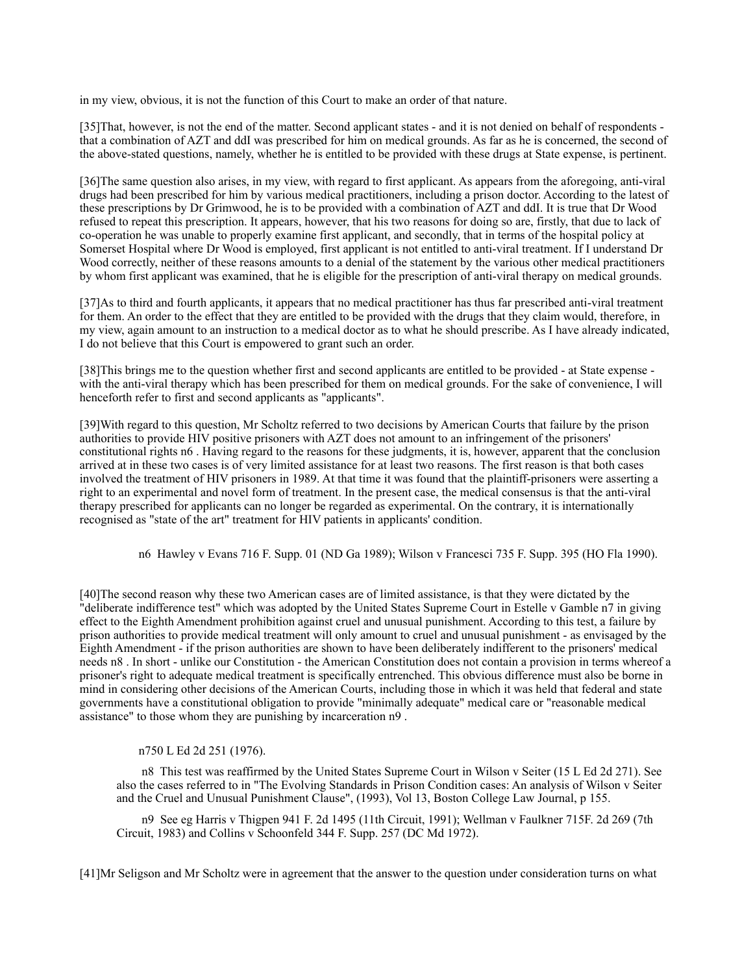in my view, obvious, it is not the function of this Court to make an order of that nature.

[35]That, however, is not the end of the matter. Second applicant states - and it is not denied on behalf of respondents that a combination of AZT and ddI was prescribed for him on medical grounds. As far as he is concerned, the second of the above-stated questions, namely, whether he is entitled to be provided with these drugs at State expense, is pertinent.

[36]The same question also arises, in my view, with regard to first applicant. As appears from the aforegoing, anti-viral drugs had been prescribed for him by various medical practitioners, including a prison doctor. According to the latest of these prescriptions by Dr Grimwood, he is to be provided with a combination of AZT and ddI. It is true that Dr Wood refused to repeat this prescription. It appears, however, that his two reasons for doing so are, firstly, that due to lack of co-operation he was unable to properly examine first applicant, and secondly, that in terms of the hospital policy at Somerset Hospital where Dr Wood is employed, first applicant is not entitled to anti-viral treatment. If I understand Dr Wood correctly, neither of these reasons amounts to a denial of the statement by the various other medical practitioners by whom first applicant was examined, that he is eligible for the prescription of anti-viral therapy on medical grounds.

[37]As to third and fourth applicants, it appears that no medical practitioner has thus far prescribed anti-viral treatment for them. An order to the effect that they are entitled to be provided with the drugs that they claim would, therefore, in my view, again amount to an instruction to a medical doctor as to what he should prescribe. As I have already indicated, I do not believe that this Court is empowered to grant such an order.

[38]This brings me to the question whether first and second applicants are entitled to be provided - at State expense with the anti-viral therapy which has been prescribed for them on medical grounds. For the sake of convenience, I will henceforth refer to first and second applicants as "applicants".

[39]With regard to this question, Mr Scholtz referred to two decisions by American Courts that failure by the prison authorities to provide HIV positive prisoners with AZT does not amount to an infringement of the prisoners' constitutional rights n6 . Having regard to the reasons for these judgments, it is, however, apparent that the conclusion arrived at in these two cases is of very limited assistance for at least two reasons. The first reason is that both cases involved the treatment of HIV prisoners in 1989. At that time it was found that the plaintiff-prisoners were asserting a right to an experimental and novel form of treatment. In the present case, the medical consensus is that the anti-viral therapy prescribed for applicants can no longer be regarded as experimental. On the contrary, it is internationally recognised as "state of the art" treatment for HIV patients in applicants' condition.

n6 Hawley v Evans 716 F. Supp. 01 (ND Ga 1989); Wilson v Francesci 735 F. Supp. 395 (HO Fla 1990).

[40]The second reason why these two American cases are of limited assistance, is that they were dictated by the "deliberate indifference test" which was adopted by the United States Supreme Court in Estelle v Gamble n7 in giving effect to the Eighth Amendment prohibition against cruel and unusual punishment. According to this test, a failure by prison authorities to provide medical treatment will only amount to cruel and unusual punishment - as envisaged by the Eighth Amendment - if the prison authorities are shown to have been deliberately indifferent to the prisoners' medical needs n8 . In short - unlike our Constitution - the American Constitution does not contain a provision in terms whereof a prisoner's right to adequate medical treatment is specifically entrenched. This obvious difference must also be borne in mind in considering other decisions of the American Courts, including those in which it was held that federal and state governments have a constitutional obligation to provide "minimally adequate" medical care or "reasonable medical assistance" to those whom they are punishing by incarceration n9 .

### n750 L Ed 2d 251 (1976).

 n8 This test was reaffirmed by the United States Supreme Court in Wilson v Seiter (15 L Ed 2d 271). See also the cases referred to in "The Evolving Standards in Prison Condition cases: An analysis of Wilson v Seiter and the Cruel and Unusual Punishment Clause", (1993), Vol 13, Boston College Law Journal, p 155.

 n9 See eg Harris v Thigpen 941 F. 2d 1495 (11th Circuit, 1991); Wellman v Faulkner 715F. 2d 269 (7th Circuit, 1983) and Collins v Schoonfeld 344 F. Supp. 257 (DC Md 1972).

[41]Mr Seligson and Mr Scholtz were in agreement that the answer to the question under consideration turns on what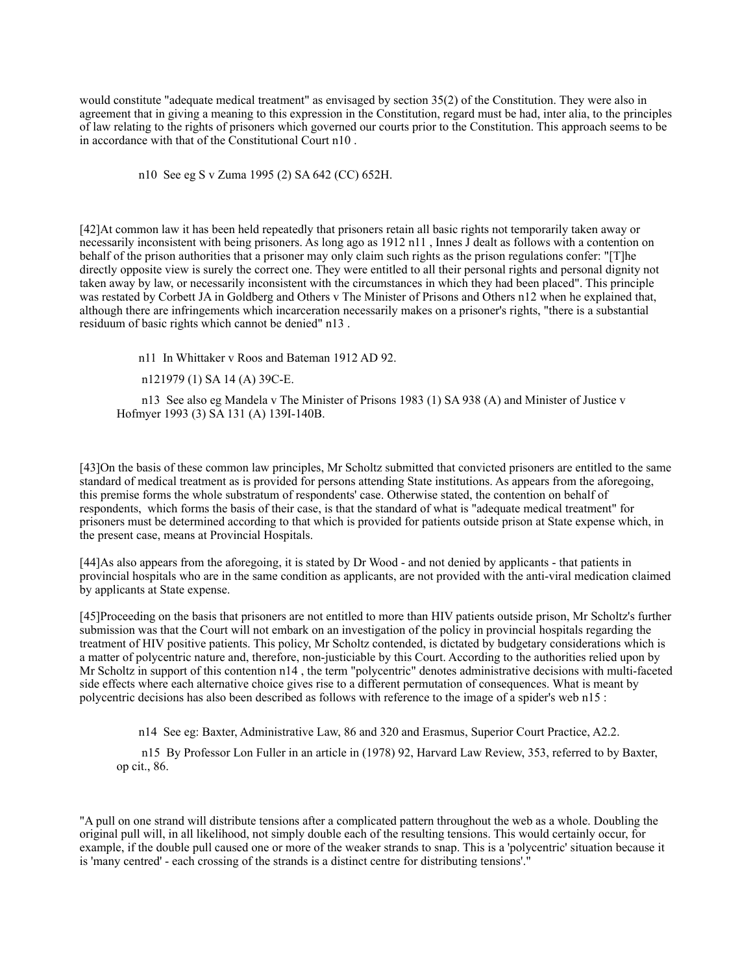would constitute "adequate medical treatment" as envisaged by section 35(2) of the Constitution. They were also in agreement that in giving a meaning to this expression in the Constitution, regard must be had, inter alia, to the principles of law relating to the rights of prisoners which governed our courts prior to the Constitution. This approach seems to be in accordance with that of the Constitutional Court n10 .

n10 See eg S v Zuma 1995 (2) SA 642 (CC) 652H.

[42]At common law it has been held repeatedly that prisoners retain all basic rights not temporarily taken away or necessarily inconsistent with being prisoners. As long ago as 1912 n11 , Innes J dealt as follows with a contention on behalf of the prison authorities that a prisoner may only claim such rights as the prison regulations confer: "[T]he directly opposite view is surely the correct one. They were entitled to all their personal rights and personal dignity not taken away by law, or necessarily inconsistent with the circumstances in which they had been placed". This principle was restated by Corbett JA in Goldberg and Others v The Minister of Prisons and Others n12 when he explained that, although there are infringements which incarceration necessarily makes on a prisoner's rights, "there is a substantial residuum of basic rights which cannot be denied" n13 .

n11 In Whittaker v Roos and Bateman 1912 AD 92.

n121979 (1) SA 14 (A) 39C-E.

 n13 See also eg Mandela v The Minister of Prisons 1983 (1) SA 938 (A) and Minister of Justice v Hofmyer 1993 (3) SA 131 (A) 139I-140B.

[43]On the basis of these common law principles, Mr Scholtz submitted that convicted prisoners are entitled to the same standard of medical treatment as is provided for persons attending State institutions. As appears from the aforegoing, this premise forms the whole substratum of respondents' case. Otherwise stated, the contention on behalf of respondents, which forms the basis of their case, is that the standard of what is "adequate medical treatment" for prisoners must be determined according to that which is provided for patients outside prison at State expense which, in the present case, means at Provincial Hospitals.

[44]As also appears from the aforegoing, it is stated by Dr Wood - and not denied by applicants - that patients in provincial hospitals who are in the same condition as applicants, are not provided with the anti-viral medication claimed by applicants at State expense.

[45]Proceeding on the basis that prisoners are not entitled to more than HIV patients outside prison, Mr Scholtz's further submission was that the Court will not embark on an investigation of the policy in provincial hospitals regarding the treatment of HIV positive patients. This policy, Mr Scholtz contended, is dictated by budgetary considerations which is a matter of polycentric nature and, therefore, non-justiciable by this Court. According to the authorities relied upon by Mr Scholtz in support of this contention n14 , the term "polycentric" denotes administrative decisions with multi-faceted side effects where each alternative choice gives rise to a different permutation of consequences. What is meant by polycentric decisions has also been described as follows with reference to the image of a spider's web n15 :

n14 See eg: Baxter, Administrative Law, 86 and 320 and Erasmus, Superior Court Practice, A2.2.

 n15 By Professor Lon Fuller in an article in (1978) 92, Harvard Law Review, 353, referred to by Baxter, op cit., 86.

"A pull on one strand will distribute tensions after a complicated pattern throughout the web as a whole. Doubling the original pull will, in all likelihood, not simply double each of the resulting tensions. This would certainly occur, for example, if the double pull caused one or more of the weaker strands to snap. This is a 'polycentric' situation because it is 'many centred' - each crossing of the strands is a distinct centre for distributing tensions'."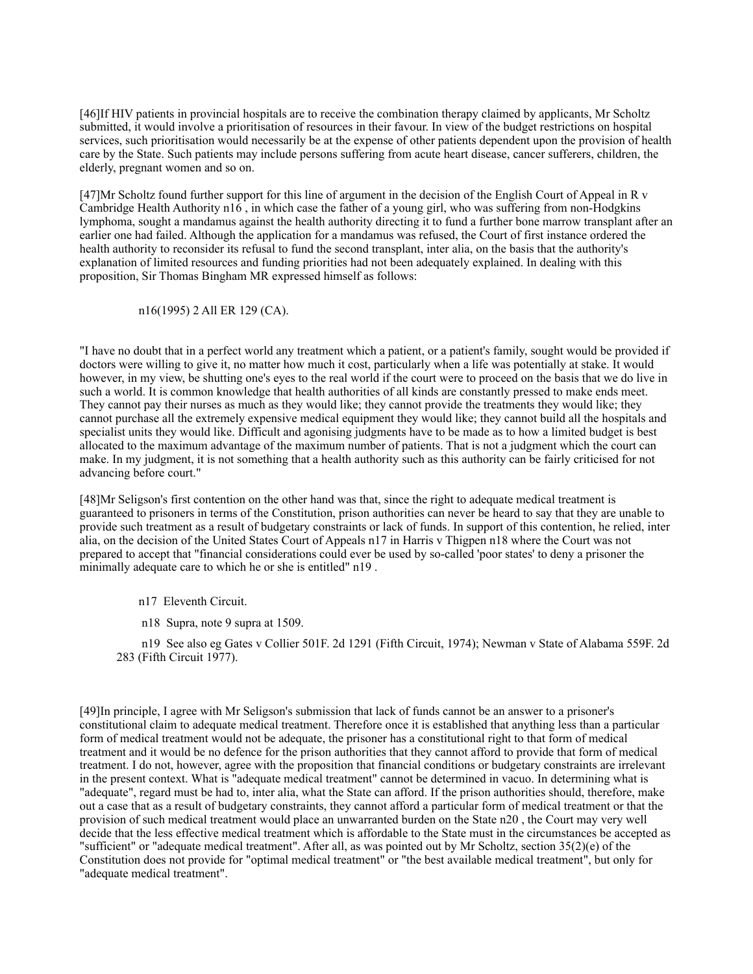[46]If HIV patients in provincial hospitals are to receive the combination therapy claimed by applicants, Mr Scholtz submitted, it would involve a prioritisation of resources in their favour. In view of the budget restrictions on hospital services, such prioritisation would necessarily be at the expense of other patients dependent upon the provision of health care by the State. Such patients may include persons suffering from acute heart disease, cancer sufferers, children, the elderly, pregnant women and so on.

[47]Mr Scholtz found further support for this line of argument in the decision of the English Court of Appeal in R v Cambridge Health Authority n16 , in which case the father of a young girl, who was suffering from non-Hodgkins lymphoma, sought a mandamus against the health authority directing it to fund a further bone marrow transplant after an earlier one had failed. Although the application for a mandamus was refused, the Court of first instance ordered the health authority to reconsider its refusal to fund the second transplant, inter alia, on the basis that the authority's explanation of limited resources and funding priorities had not been adequately explained. In dealing with this proposition, Sir Thomas Bingham MR expressed himself as follows:

n16(1995) 2 All ER 129 (CA).

"I have no doubt that in a perfect world any treatment which a patient, or a patient's family, sought would be provided if doctors were willing to give it, no matter how much it cost, particularly when a life was potentially at stake. It would however, in my view, be shutting one's eyes to the real world if the court were to proceed on the basis that we do live in such a world. It is common knowledge that health authorities of all kinds are constantly pressed to make ends meet. They cannot pay their nurses as much as they would like; they cannot provide the treatments they would like; they cannot purchase all the extremely expensive medical equipment they would like; they cannot build all the hospitals and specialist units they would like. Difficult and agonising judgments have to be made as to how a limited budget is best allocated to the maximum advantage of the maximum number of patients. That is not a judgment which the court can make. In my judgment, it is not something that a health authority such as this authority can be fairly criticised for not advancing before court."

[48]Mr Seligson's first contention on the other hand was that, since the right to adequate medical treatment is guaranteed to prisoners in terms of the Constitution, prison authorities can never be heard to say that they are unable to provide such treatment as a result of budgetary constraints or lack of funds. In support of this contention, he relied, inter alia, on the decision of the United States Court of Appeals n17 in Harris v Thigpen n18 where the Court was not prepared to accept that "financial considerations could ever be used by so-called 'poor states' to deny a prisoner the minimally adequate care to which he or she is entitled" n19 .

- n17 Eleventh Circuit.
- n18 Supra, note 9 supra at 1509.

 n19 See also eg Gates v Collier 501F. 2d 1291 (Fifth Circuit, 1974); Newman v State of Alabama 559F. 2d 283 (Fifth Circuit 1977).

[49]In principle, I agree with Mr Seligson's submission that lack of funds cannot be an answer to a prisoner's constitutional claim to adequate medical treatment. Therefore once it is established that anything less than a particular form of medical treatment would not be adequate, the prisoner has a constitutional right to that form of medical treatment and it would be no defence for the prison authorities that they cannot afford to provide that form of medical treatment. I do not, however, agree with the proposition that financial conditions or budgetary constraints are irrelevant in the present context. What is "adequate medical treatment" cannot be determined in vacuo. In determining what is "adequate", regard must be had to, inter alia, what the State can afford. If the prison authorities should, therefore, make out a case that as a result of budgetary constraints, they cannot afford a particular form of medical treatment or that the provision of such medical treatment would place an unwarranted burden on the State n20 , the Court may very well decide that the less effective medical treatment which is affordable to the State must in the circumstances be accepted as "sufficient" or "adequate medical treatment". After all, as was pointed out by Mr Scholtz, section 35(2)(e) of the Constitution does not provide for "optimal medical treatment" or "the best available medical treatment", but only for "adequate medical treatment".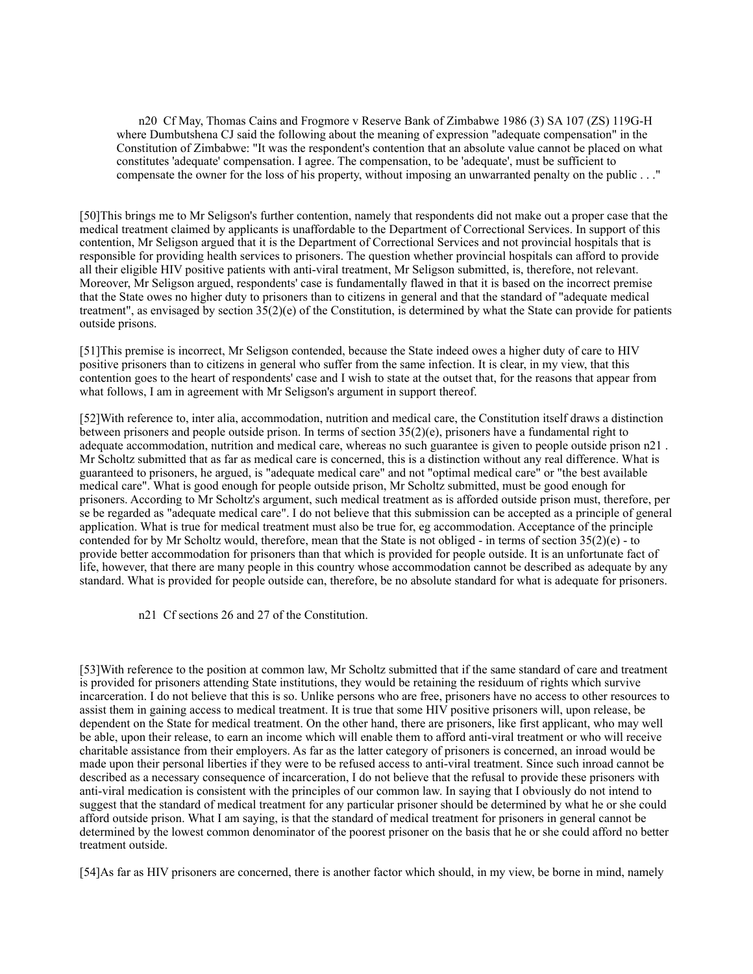n20 Cf May, Thomas Cains and Frogmore v Reserve Bank of Zimbabwe 1986 (3) SA 107 (ZS) 119G-H where Dumbutshena CJ said the following about the meaning of expression "adequate compensation" in the Constitution of Zimbabwe: "It was the respondent's contention that an absolute value cannot be placed on what constitutes 'adequate' compensation. I agree. The compensation, to be 'adequate', must be sufficient to compensate the owner for the loss of his property, without imposing an unwarranted penalty on the public . . ."

[50]This brings me to Mr Seligson's further contention, namely that respondents did not make out a proper case that the medical treatment claimed by applicants is unaffordable to the Department of Correctional Services. In support of this contention, Mr Seligson argued that it is the Department of Correctional Services and not provincial hospitals that is responsible for providing health services to prisoners. The question whether provincial hospitals can afford to provide all their eligible HIV positive patients with anti-viral treatment, Mr Seligson submitted, is, therefore, not relevant. Moreover, Mr Seligson argued, respondents' case is fundamentally flawed in that it is based on the incorrect premise that the State owes no higher duty to prisoners than to citizens in general and that the standard of "adequate medical treatment", as envisaged by section  $35(2)(e)$  of the Constitution, is determined by what the State can provide for patients outside prisons.

[51]This premise is incorrect, Mr Seligson contended, because the State indeed owes a higher duty of care to HIV positive prisoners than to citizens in general who suffer from the same infection. It is clear, in my view, that this contention goes to the heart of respondents' case and I wish to state at the outset that, for the reasons that appear from what follows, I am in agreement with Mr Seligson's argument in support thereof.

[52]With reference to, inter alia, accommodation, nutrition and medical care, the Constitution itself draws a distinction between prisoners and people outside prison. In terms of section 35(2)(e), prisoners have a fundamental right to adequate accommodation, nutrition and medical care, whereas no such guarantee is given to people outside prison n21 . Mr Scholtz submitted that as far as medical care is concerned, this is a distinction without any real difference. What is guaranteed to prisoners, he argued, is "adequate medical care" and not "optimal medical care" or "the best available medical care". What is good enough for people outside prison, Mr Scholtz submitted, must be good enough for prisoners. According to Mr Scholtz's argument, such medical treatment as is afforded outside prison must, therefore, per se be regarded as "adequate medical care". I do not believe that this submission can be accepted as a principle of general application. What is true for medical treatment must also be true for, eg accommodation. Acceptance of the principle contended for by Mr Scholtz would, therefore, mean that the State is not obliged - in terms of section  $35(2)(e)$  - to provide better accommodation for prisoners than that which is provided for people outside. It is an unfortunate fact of life, however, that there are many people in this country whose accommodation cannot be described as adequate by any standard. What is provided for people outside can, therefore, be no absolute standard for what is adequate for prisoners.

n21 Cf sections 26 and 27 of the Constitution.

[53]With reference to the position at common law, Mr Scholtz submitted that if the same standard of care and treatment is provided for prisoners attending State institutions, they would be retaining the residuum of rights which survive incarceration. I do not believe that this is so. Unlike persons who are free, prisoners have no access to other resources to assist them in gaining access to medical treatment. It is true that some HIV positive prisoners will, upon release, be dependent on the State for medical treatment. On the other hand, there are prisoners, like first applicant, who may well be able, upon their release, to earn an income which will enable them to afford anti-viral treatment or who will receive charitable assistance from their employers. As far as the latter category of prisoners is concerned, an inroad would be made upon their personal liberties if they were to be refused access to anti-viral treatment. Since such inroad cannot be described as a necessary consequence of incarceration, I do not believe that the refusal to provide these prisoners with anti-viral medication is consistent with the principles of our common law. In saying that I obviously do not intend to suggest that the standard of medical treatment for any particular prisoner should be determined by what he or she could afford outside prison. What I am saying, is that the standard of medical treatment for prisoners in general cannot be determined by the lowest common denominator of the poorest prisoner on the basis that he or she could afford no better treatment outside.

[54]As far as HIV prisoners are concerned, there is another factor which should, in my view, be borne in mind, namely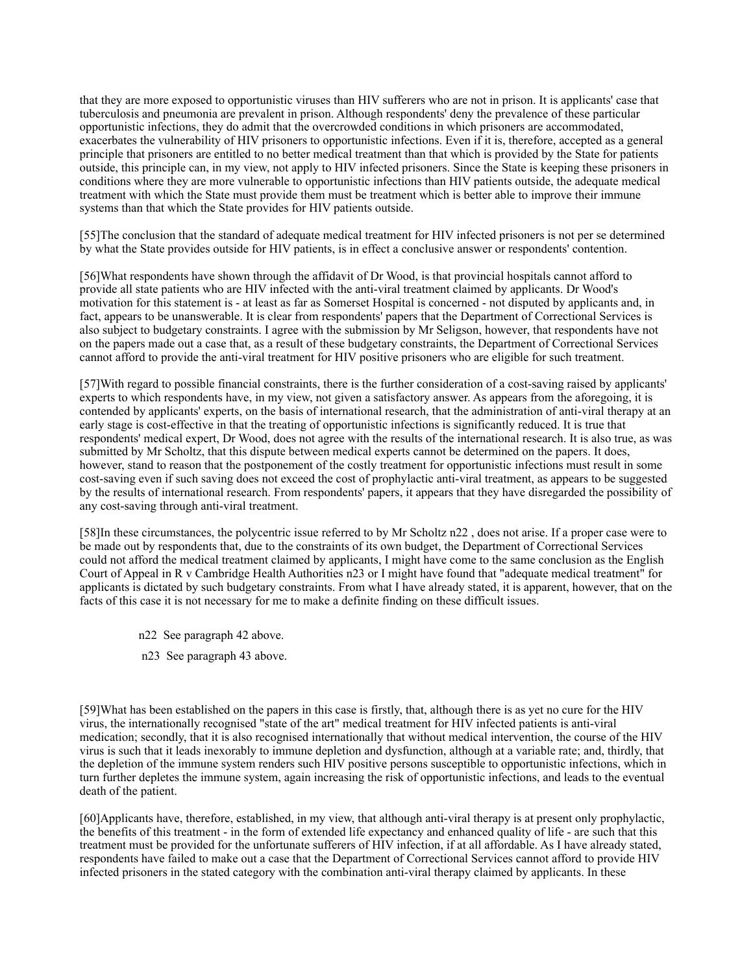that they are more exposed to opportunistic viruses than HIV sufferers who are not in prison. It is applicants' case that tuberculosis and pneumonia are prevalent in prison. Although respondents' deny the prevalence of these particular opportunistic infections, they do admit that the overcrowded conditions in which prisoners are accommodated, exacerbates the vulnerability of HIV prisoners to opportunistic infections. Even if it is, therefore, accepted as a general principle that prisoners are entitled to no better medical treatment than that which is provided by the State for patients outside, this principle can, in my view, not apply to HIV infected prisoners. Since the State is keeping these prisoners in conditions where they are more vulnerable to opportunistic infections than HIV patients outside, the adequate medical treatment with which the State must provide them must be treatment which is better able to improve their immune systems than that which the State provides for HIV patients outside.

[55]The conclusion that the standard of adequate medical treatment for HIV infected prisoners is not per se determined by what the State provides outside for HIV patients, is in effect a conclusive answer or respondents' contention.

[56]What respondents have shown through the affidavit of Dr Wood, is that provincial hospitals cannot afford to provide all state patients who are HIV infected with the anti-viral treatment claimed by applicants. Dr Wood's motivation for this statement is - at least as far as Somerset Hospital is concerned - not disputed by applicants and, in fact, appears to be unanswerable. It is clear from respondents' papers that the Department of Correctional Services is also subject to budgetary constraints. I agree with the submission by Mr Seligson, however, that respondents have not on the papers made out a case that, as a result of these budgetary constraints, the Department of Correctional Services cannot afford to provide the anti-viral treatment for HIV positive prisoners who are eligible for such treatment.

[57]With regard to possible financial constraints, there is the further consideration of a cost-saving raised by applicants' experts to which respondents have, in my view, not given a satisfactory answer. As appears from the aforegoing, it is contended by applicants' experts, on the basis of international research, that the administration of anti-viral therapy at an early stage is cost-effective in that the treating of opportunistic infections is significantly reduced. It is true that respondents' medical expert, Dr Wood, does not agree with the results of the international research. It is also true, as was submitted by Mr Scholtz, that this dispute between medical experts cannot be determined on the papers. It does, however, stand to reason that the postponement of the costly treatment for opportunistic infections must result in some cost-saving even if such saving does not exceed the cost of prophylactic anti-viral treatment, as appears to be suggested by the results of international research. From respondents' papers, it appears that they have disregarded the possibility of any cost-saving through anti-viral treatment.

[58]In these circumstances, the polycentric issue referred to by Mr Scholtz n22 , does not arise. If a proper case were to be made out by respondents that, due to the constraints of its own budget, the Department of Correctional Services could not afford the medical treatment claimed by applicants, I might have come to the same conclusion as the English Court of Appeal in R v Cambridge Health Authorities n23 or I might have found that "adequate medical treatment" for applicants is dictated by such budgetary constraints. From what I have already stated, it is apparent, however, that on the facts of this case it is not necessary for me to make a definite finding on these difficult issues.

- n22 See paragraph 42 above.
- n23 See paragraph 43 above.

[59]What has been established on the papers in this case is firstly, that, although there is as yet no cure for the HIV virus, the internationally recognised "state of the art" medical treatment for HIV infected patients is anti-viral medication; secondly, that it is also recognised internationally that without medical intervention, the course of the HIV virus is such that it leads inexorably to immune depletion and dysfunction, although at a variable rate; and, thirdly, that the depletion of the immune system renders such HIV positive persons susceptible to opportunistic infections, which in turn further depletes the immune system, again increasing the risk of opportunistic infections, and leads to the eventual death of the patient.

[60]Applicants have, therefore, established, in my view, that although anti-viral therapy is at present only prophylactic, the benefits of this treatment - in the form of extended life expectancy and enhanced quality of life - are such that this treatment must be provided for the unfortunate sufferers of HIV infection, if at all affordable. As I have already stated, respondents have failed to make out a case that the Department of Correctional Services cannot afford to provide HIV infected prisoners in the stated category with the combination anti-viral therapy claimed by applicants. In these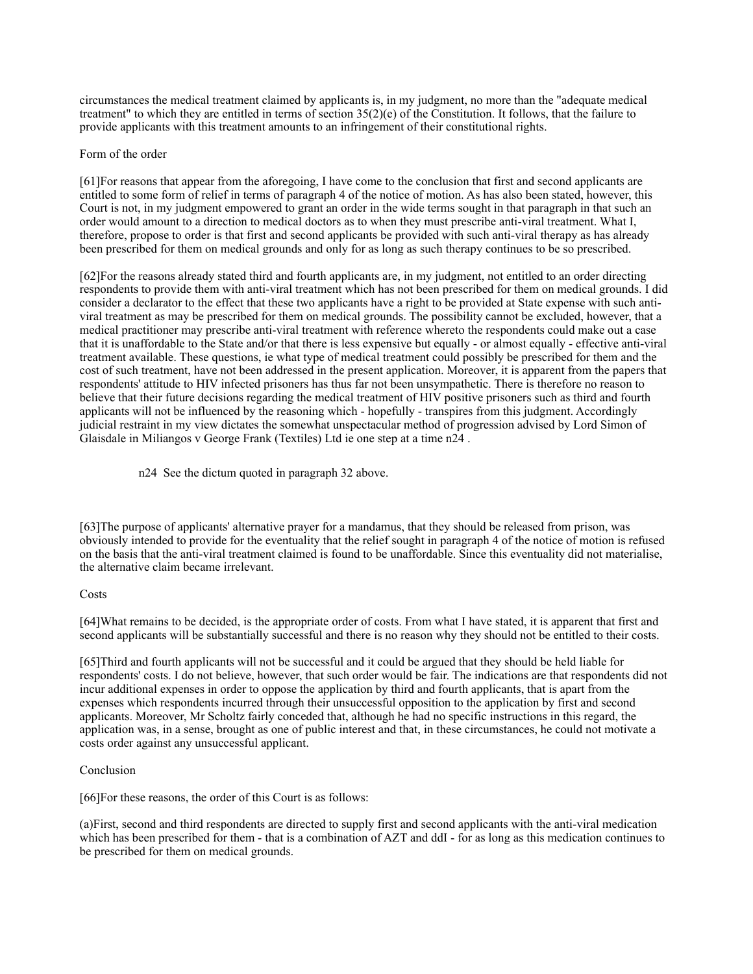circumstances the medical treatment claimed by applicants is, in my judgment, no more than the "adequate medical treatment" to which they are entitled in terms of section 35(2)(e) of the Constitution. It follows, that the failure to provide applicants with this treatment amounts to an infringement of their constitutional rights.

#### Form of the order

[61]For reasons that appear from the aforegoing, I have come to the conclusion that first and second applicants are entitled to some form of relief in terms of paragraph 4 of the notice of motion. As has also been stated, however, this Court is not, in my judgment empowered to grant an order in the wide terms sought in that paragraph in that such an order would amount to a direction to medical doctors as to when they must prescribe anti-viral treatment. What I, therefore, propose to order is that first and second applicants be provided with such anti-viral therapy as has already been prescribed for them on medical grounds and only for as long as such therapy continues to be so prescribed.

[62]For the reasons already stated third and fourth applicants are, in my judgment, not entitled to an order directing respondents to provide them with anti-viral treatment which has not been prescribed for them on medical grounds. I did consider a declarator to the effect that these two applicants have a right to be provided at State expense with such antiviral treatment as may be prescribed for them on medical grounds. The possibility cannot be excluded, however, that a medical practitioner may prescribe anti-viral treatment with reference whereto the respondents could make out a case that it is unaffordable to the State and/or that there is less expensive but equally - or almost equally - effective anti-viral treatment available. These questions, ie what type of medical treatment could possibly be prescribed for them and the cost of such treatment, have not been addressed in the present application. Moreover, it is apparent from the papers that respondents' attitude to HIV infected prisoners has thus far not been unsympathetic. There is therefore no reason to believe that their future decisions regarding the medical treatment of HIV positive prisoners such as third and fourth applicants will not be influenced by the reasoning which - hopefully - transpires from this judgment. Accordingly judicial restraint in my view dictates the somewhat unspectacular method of progression advised by Lord Simon of Glaisdale in Miliangos v George Frank (Textiles) Ltd ie one step at a time n24 .

n24 See the dictum quoted in paragraph 32 above.

[63]The purpose of applicants' alternative prayer for a mandamus, that they should be released from prison, was obviously intended to provide for the eventuality that the relief sought in paragraph 4 of the notice of motion is refused on the basis that the anti-viral treatment claimed is found to be unaffordable. Since this eventuality did not materialise, the alternative claim became irrelevant.

# **Costs**

[64]What remains to be decided, is the appropriate order of costs. From what I have stated, it is apparent that first and second applicants will be substantially successful and there is no reason why they should not be entitled to their costs.

[65]Third and fourth applicants will not be successful and it could be argued that they should be held liable for respondents' costs. I do not believe, however, that such order would be fair. The indications are that respondents did not incur additional expenses in order to oppose the application by third and fourth applicants, that is apart from the expenses which respondents incurred through their unsuccessful opposition to the application by first and second applicants. Moreover, Mr Scholtz fairly conceded that, although he had no specific instructions in this regard, the application was, in a sense, brought as one of public interest and that, in these circumstances, he could not motivate a costs order against any unsuccessful applicant.

# Conclusion

[66]For these reasons, the order of this Court is as follows:

(a)First, second and third respondents are directed to supply first and second applicants with the anti-viral medication which has been prescribed for them - that is a combination of AZT and ddI - for as long as this medication continues to be prescribed for them on medical grounds.